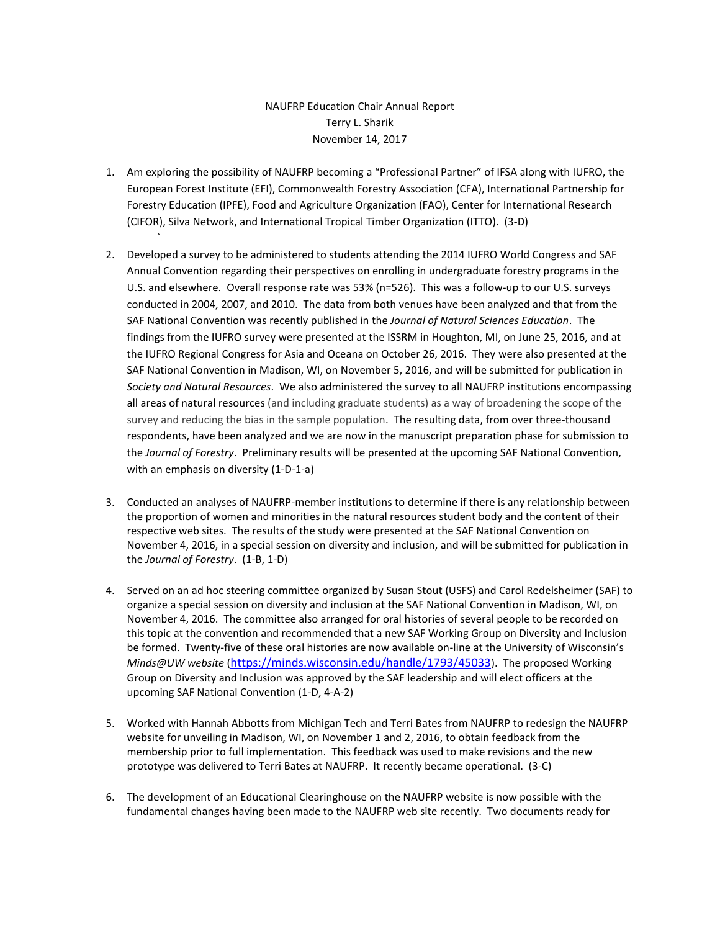## NAUFRP Education Chair Annual Report Terry L. Sharik November 14, 2017

1. Am exploring the possibility of NAUFRP becoming a "Professional Partner" of IFSA along with IUFRO, the European Forest Institute (EFI), Commonwealth Forestry Association (CFA), International Partnership for Forestry Education (IPFE), Food and Agriculture Organization (FAO), Center for International Research (CIFOR), Silva Network, and International Tropical Timber Organization (ITTO). (3-D)

`

- 2. Developed a survey to be administered to students attending the 2014 IUFRO World Congress and SAF Annual Convention regarding their perspectives on enrolling in undergraduate forestry programs in the U.S. and elsewhere. Overall response rate was 53% (n=526). This was a follow-up to our U.S. surveys conducted in 2004, 2007, and 2010. The data from both venues have been analyzed and that from the SAF National Convention was recently published in the *Journal of Natural Sciences Education*. The findings from the IUFRO survey were presented at the ISSRM in Houghton, MI, on June 25, 2016, and at the IUFRO Regional Congress for Asia and Oceana on October 26, 2016. They were also presented at the SAF National Convention in Madison, WI, on November 5, 2016, and will be submitted for publication in *Society and Natural Resources*. We also administered the survey to all NAUFRP institutions encompassing all areas of natural resources (and including graduate students) as a way of broadening the scope of the survey and reducing the bias in the sample population. The resulting data, from over three-thousand respondents, have been analyzed and we are now in the manuscript preparation phase for submission to the *Journal of Forestry*. Preliminary results will be presented at the upcoming SAF National Convention, with an emphasis on diversity (1-D-1-a)
- 3. Conducted an analyses of NAUFRP-member institutions to determine if there is any relationship between the proportion of women and minorities in the natural resources student body and the content of their respective web sites. The results of the study were presented at the SAF National Convention on November 4, 2016, in a special session on diversity and inclusion, and will be submitted for publication in the *Journal of Forestry*. (1-B, 1-D)
- 4. Served on an ad hoc steering committee organized by Susan Stout (USFS) and Carol Redelsheimer (SAF) to organize a special session on diversity and inclusion at the SAF National Convention in Madison, WI, on November 4, 2016. The committee also arranged for oral histories of several people to be recorded on this topic at the convention and recommended that a new SAF Working Group on Diversity and Inclusion be formed. Twenty-five of these oral histories are now available on-line at the University of Wisconsin's *Minds@UW website* (<https://minds.wisconsin.edu/handle/1793/45033>). The proposed Working Group on Diversity and Inclusion was approved by the SAF leadership and will elect officers at the upcoming SAF National Convention (1-D, 4-A-2)
- 5. Worked with Hannah Abbotts from Michigan Tech and Terri Bates from NAUFRP to redesign the NAUFRP website for unveiling in Madison, WI, on November 1 and 2, 2016, to obtain feedback from the membership prior to full implementation. This feedback was used to make revisions and the new prototype was delivered to Terri Bates at NAUFRP. It recently became operational. (3-C)
- 6. The development of an Educational Clearinghouse on the NAUFRP website is now possible with the fundamental changes having been made to the NAUFRP web site recently. Two documents ready for